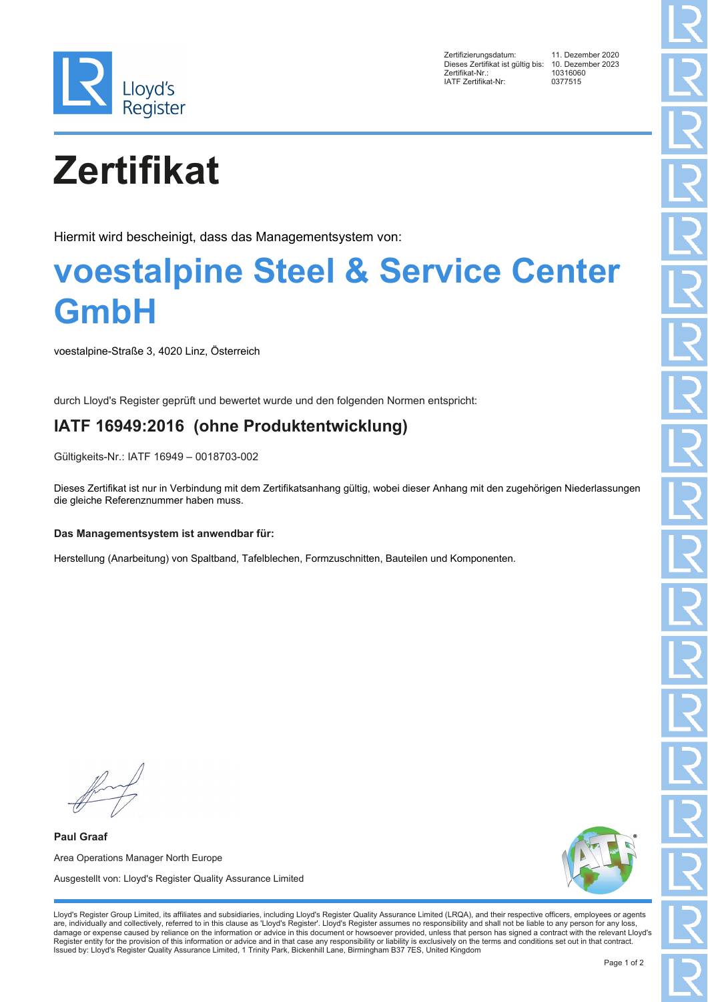

Zertifizierungsdatum: 11. Dezember 2020 Dieses Zertifikat ist gültig bis: 10. Dezem<br>Zertifikat-Nr.: 10316060 2 External Contract of Service 2016<br>
2 The Service Contract Contract Contract Contract Contract Contract Contract Contract Contract Contract Contract Contract Contract Contract Contract Contract Contract Contract Contract IATF Zertifikat-Nr:

# **Zertifikat**

Hiermit wird bescheinigt, dass das Managementsystem von:

### **voestalpine Steel & Service Center GmbH**

voestalpine-Straße 3, 4020 Linz, Österreich

durch Lloyd's Register geprüft und bewertet wurde und den folgenden Normen entspricht:

### **IATF 16949:2016 (ohne Produktentwicklung)**

Gültigkeits-Nr.: IATF 16949 – 0018703-002

Dieses Zertifikat ist nur in Verbindung mit dem Zertifikatsanhang gültig, wobei dieser Anhang mit den zugehörigen Niederlassungen die gleiche Referenznummer haben muss.

#### **Das Managementsystem ist anwendbar für:**

Herstellung (Anarbeitung) von Spaltband, Tafelblechen, Formzuschnitten, Bauteilen und Komponenten.

**Paul Graaf** Area Operations Manager North Europe Ausgestellt von: Lloyd's Register Quality Assurance Limited



Lloyd's Register Group Limited, its affiliates and subsidiaries, including Lloyd's Register Quality Assurance Limited (LRQA), and their respective officers, employees or agents are, individually and collectively, referred to in this clause as 'Lloyd's Register'. Lloyd's Register assumes no responsibility and shall not be liable to any person for any loss,<br>damage or expense caused by reliance on t Register entity for the provision of this information or advice and in that case any responsibility or liability is exclusively on the terms and conditions set out in that contract. Issued by: Lloyd's Register Quality Assurance Limited, 1 Trinity Park, Bickenhill Lane, Birmingham B37 7ES, United Kingdom